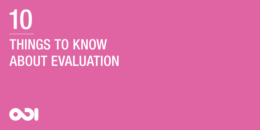

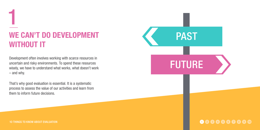## WE CAN'T DO DEVELOPMENT WITHOUT IT

Development often involves working with scarce resources in uncertain and risky environments. To spend these resources wisely, we have to understand what works, what doesn't work – and why.

That's why good evaluation is essential. It is a systematic process to assess the value of our activities and learn from them to inform future decisions.



1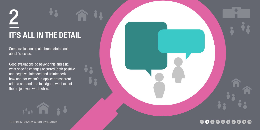# 2 IT'S ALL IN THE DETAIL

Some evaluations make broad statements about 'success'.

Good evaluations go beyond this and ask: what specific changes occurred (both positive and negative, intended and unintended), how and, for whom? It applies transparent criteria or standards to judge to what extent the project was worthwhile.



1o things to know about evaluation

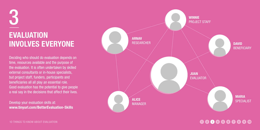# 3**EVALUATION** involves everyone

Deciding who should do evaluation depends on time, resources available and the purpose of the evaluation. It is often undertaken by skilled external consultants or in-house specialists, but project staff, funders, participants and beneficiaries all all play an essential role. Good evaluation has the potential to give people a real say in the decisions that affect their lives.

Develop your evaluation skills at: www.tinyurl.com/BetterEvaluation-Skills



1o things to know about evaluation

#### 1 (2) (3) (4) (5) (6) (7) (8) (9) (10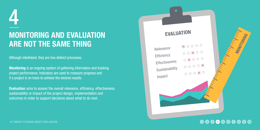## 4 Monitoring and evaluation are not the same thing

Although interlinked, they are two distinct processes.

Monitoring is an ongoing system of gathering information and tracking project performance. Indicators are used to measure progress and if a project is on track to achieve the desired results.

Evaluation aims to assess the overall relevance, efficiency, effectiveness, sustainability or impact of the project design, implementation and outcomes in order to support decisions about what to do next.

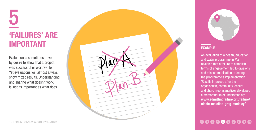# 'FAILURES' ARE **IMPORT FAILURES' ARE**<br> **IMPORTANT**<br>
Evaluation is sometimes driven<br>
by desire to show that a project<br>
ver evaluations will almost always<br>
show mixed results. Understandin<br>
and sharing what doesn't work<br>
is just as important as w

Evaluation is sometimes driven by desire to show that a project was successful or worthwhile. Yet evaluations will almost always show mixed results. Understanding and sharing what doesn't work





#### EXAMPLE

An evaluation of a health, education and water programme in Mali revealed that a failure to establish terms of engagement led to divisions and miscommunication affecting the programme's implementation. 'Results improved after the organisation, community leaders and church representatives developed a memorandum of understanding: www.admittingfailure.org/failure/ nicole-mclellan-greg-madeley/

## 000000000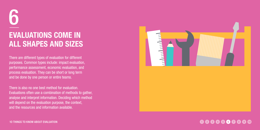# 6Evaluations come in all shapes and si zes

There are different types of evaluation for different purposes. Common types include: impact evaluation, performance assessment, economic evaluation, and process evaluation. They can be short or long term and be done by one person or entire teams.

There is also no one best method for evaluation. Evaluations often use a combination of methods to gather, analyse and interpret information. Deciding which method will depend on the evaluation purpose, the context, and the resources and information available.



#### 1 (2 (3 (4 (5 (6 (7 (8 (9 (10

1o things to know about evaluation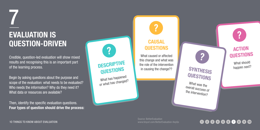## 7 Evaluation is question-driven

Credible, question-led evaluation will show mixed results and recognising this is an important part of the learning process.

Begin by asking questions about the purpose and scope of the evaluation: what needs to be evaluated? Who needs the information? Why do they need it? What data or resources are available?

Then, identify the specific evaluation questions. Four types of question should drive the process:



What has happened or what has changed?

#### **CAUSAL QUESTIONS**

What caused or affected this change and what was the role of the intervention in causing the change??

SYNTHESIS happen next? **QUESTIONS** 

What was the overall success of the intervention?

What should

**ACTION** questions

Source: BetterEvaluation www.tinyurl.com/BetterEvaluation-KeyQs

## 000000000

1o things to know about evaluation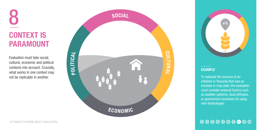# 8 CONTEXT IS **PARAMOUNT**

Evaluation must take social, cultural, economic and political contexts into account. Crucially, what works in one context may not be replicable in another.





#### EXAMPLE

To replicate the success of an initiative in Tanzania that saw an increase in crop yield, the evaluation must consider external factors such as weather patterns, local attitudes, or government incentives for using new technologies.

### 1 2 3 4 5 6 7 8 9 10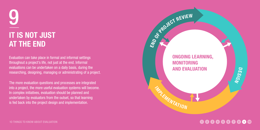# 9**IT IS NOT JUST** at the end

Evaluation can take place in formal and informal settings throughout a project's life, not just at the end. Informal evaluations can be undertaken on a daily basis, during the researching, designing, managing or administrating of a project.

The more evaluation questions and processes are integrated into a project, the more useful evaluation systems will become. In complex initiatives, evaluation should be planned and undertaken by evaluators from the outset, so that learning is fed back into the project design and implementation.



#### 1 2 3 4 5 6 7 8 9 10

1o things TO KNOW about evaluation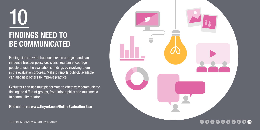## 10FINDINGS NEED T be communicated

Findings inform what happens next in a project and can influence broader policy decisions. You can encourage people to use the evaluation's findings by involving them in the evaluation process. Making reports publicly available can also help others to improve practice.

Evaluators can use multiple formats to effectively communicate findings to different groups, from infographics and multimedia to community theatre.

Find out more: www.tinyurl.com/BetterEvaluation-Use